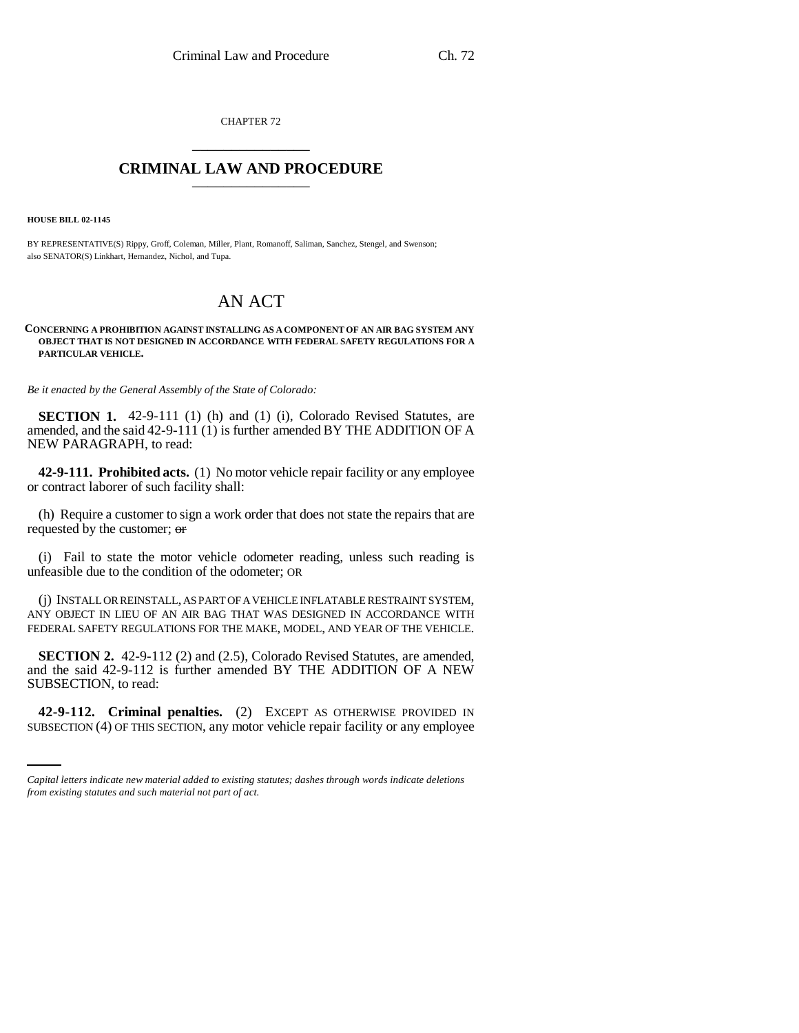CHAPTER 72 \_\_\_\_\_\_\_\_\_\_\_\_\_\_\_

## **CRIMINAL LAW AND PROCEDURE** \_\_\_\_\_\_\_\_\_\_\_\_\_\_\_

**HOUSE BILL 02-1145**

BY REPRESENTATIVE(S) Rippy, Groff, Coleman, Miller, Plant, Romanoff, Saliman, Sanchez, Stengel, and Swenson; also SENATOR(S) Linkhart, Hernandez, Nichol, and Tupa.

## AN ACT

## **CONCERNING A PROHIBITION AGAINST INSTALLING AS A COMPONENT OF AN AIR BAG SYSTEM ANY OBJECT THAT IS NOT DESIGNED IN ACCORDANCE WITH FEDERAL SAFETY REGULATIONS FOR A PARTICULAR VEHICLE.**

*Be it enacted by the General Assembly of the State of Colorado:*

**SECTION 1.** 42-9-111 (1) (h) and (1) (i), Colorado Revised Statutes, are amended, and the said 42-9-111 (1) is further amended BY THE ADDITION OF A NEW PARAGRAPH, to read:

**42-9-111. Prohibited acts.** (1) No motor vehicle repair facility or any employee or contract laborer of such facility shall:

(h) Require a customer to sign a work order that does not state the repairs that are requested by the customer; or

(i) Fail to state the motor vehicle odometer reading, unless such reading is unfeasible due to the condition of the odometer; OR

(j) INSTALL OR REINSTALL, AS PART OF A VEHICLE INFLATABLE RESTRAINT SYSTEM, ANY OBJECT IN LIEU OF AN AIR BAG THAT WAS DESIGNED IN ACCORDANCE WITH FEDERAL SAFETY REGULATIONS FOR THE MAKE, MODEL, AND YEAR OF THE VEHICLE.

**SECTION 2.** 42-9-112 (2) and (2.5), Colorado Revised Statutes, are amended, and the said 42-9-112 is further amended BY THE ADDITION OF A NEW SUBSECTION, to read:

**42-9-112. Criminal penalties.** (2) EXCEPT AS OTHERWISE PROVIDED IN SUBSECTION (4) OF THIS SECTION, any motor vehicle repair facility or any employee

*Capital letters indicate new material added to existing statutes; dashes through words indicate deletions from existing statutes and such material not part of act.*